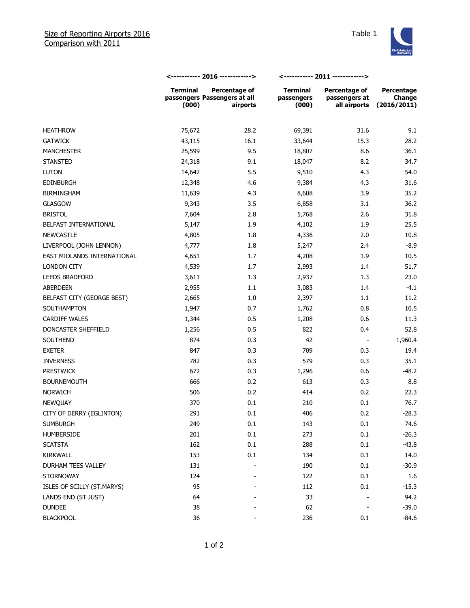

|                             | <----------- 2016 ------------> |                                                           | <----------- 2011 ------------>        |                                                |                                     |
|-----------------------------|---------------------------------|-----------------------------------------------------------|----------------------------------------|------------------------------------------------|-------------------------------------|
|                             | Terminal<br>(000)               | Percentage of<br>passengers Passengers at all<br>airports | <b>Terminal</b><br>passengers<br>(000) | Percentage of<br>passengers at<br>all airports | Percentage<br>Change<br>(2016/2011) |
| <b>HEATHROW</b>             | 75,672                          | 28.2                                                      | 69,391                                 | 31.6                                           | 9.1                                 |
| <b>GATWICK</b>              | 43,115                          | 16.1                                                      | 33,644                                 | 15.3                                           | 28.2                                |
| <b>MANCHESTER</b>           | 25,599                          | 9.5                                                       | 18,807                                 | 8.6                                            | 36.1                                |
| <b>STANSTED</b>             | 24,318                          | 9.1                                                       | 18,047                                 | 8.2                                            | 34.7                                |
| <b>LUTON</b>                | 14,642                          | 5.5                                                       | 9,510                                  | 4.3                                            | 54.0                                |
| <b>EDINBURGH</b>            | 12,348                          | 4.6                                                       | 9,384                                  | 4.3                                            | 31.6                                |
| <b>BIRMINGHAM</b>           | 11,639                          | 4.3                                                       | 8,608                                  | 3.9                                            | 35.2                                |
| <b>GLASGOW</b>              | 9,343                           | 3.5                                                       | 6,858                                  | 3.1                                            | 36.2                                |
| <b>BRISTOL</b>              | 7,604                           | 2.8                                                       | 5,768                                  | 2.6                                            | 31.8                                |
| BELFAST INTERNATIONAL       | 5,147                           | 1.9                                                       | 4,102                                  | 1.9                                            | 25.5                                |
| <b>NEWCASTLE</b>            | 4,805                           | 1.8                                                       | 4,336                                  | 2.0                                            | 10.8                                |
| LIVERPOOL (JOHN LENNON)     | 4,777                           | 1.8                                                       | 5,247                                  | 2.4                                            | $-8.9$                              |
| EAST MIDLANDS INTERNATIONAL | 4,651                           | 1.7                                                       | 4,208                                  | 1.9                                            | 10.5                                |
| LONDON CITY                 | 4,539                           | 1.7                                                       | 2,993                                  | 1.4                                            | 51.7                                |
| <b>LEEDS BRADFORD</b>       | 3,611                           | 1.3                                                       | 2,937                                  | 1.3                                            | 23.0                                |
| ABERDEEN                    | 2,955                           | 1.1                                                       | 3,083                                  | 1.4                                            | $-4.1$                              |
| BELFAST CITY (GEORGE BEST)  | 2,665                           | $1.0$                                                     | 2,397                                  | 1.1                                            | 11.2                                |
| SOUTHAMPTON                 | 1,947                           | 0.7                                                       | 1,762                                  | 0.8                                            | 10.5                                |
| <b>CARDIFF WALES</b>        | 1,344                           | 0.5                                                       | 1,208                                  | 0.6                                            | 11.3                                |
| DONCASTER SHEFFIELD         | 1,256                           | 0.5                                                       | 822                                    | 0.4                                            | 52.8                                |
| SOUTHEND                    | 874                             | 0.3                                                       | 42                                     | $\sim$                                         | 1,960.4                             |
| <b>EXETER</b>               | 847                             | 0.3                                                       | 709                                    | 0.3                                            | 19.4                                |
| <b>INVERNESS</b>            | 782                             | 0.3                                                       | 579                                    | 0.3                                            | 35.1                                |
| <b>PRESTWICK</b>            | 672                             | 0.3                                                       | 1,296                                  | 0.6                                            | $-48.2$                             |
| <b>BOURNEMOUTH</b>          | 666                             | 0.2                                                       | 613                                    | 0.3                                            | 8.8                                 |
| <b>NORWICH</b>              | 506                             | 0.2                                                       | 414                                    | 0.2                                            | 22.3                                |
| <b>NEWQUAY</b>              | 370                             | 0.1                                                       | 210                                    | 0.1                                            | 76.7                                |
| CITY OF DERRY (EGLINTON)    | 291                             | 0.1                                                       | 406                                    | 0.2                                            | $-28.3$                             |
| <b>SUMBURGH</b>             | 249                             | $0.1\,$                                                   | 143                                    | 0.1                                            | 74.6                                |
| HUMBERSIDE                  | 201                             | $0.1\,$                                                   | 273                                    | 0.1                                            | $-26.3$                             |
| <b>SCATSTA</b>              | 162                             | 0.1                                                       | 288                                    | 0.1                                            | $-43.8$                             |
| <b>KIRKWALL</b>             | 153                             | 0.1                                                       | 134                                    | 0.1                                            | 14.0                                |
| DURHAM TEES VALLEY          | 131                             |                                                           | 190                                    | 0.1                                            | $-30.9$                             |
| <b>STORNOWAY</b>            | 124                             |                                                           | 122                                    | 0.1                                            | 1.6                                 |
| ISLES OF SCILLY (ST.MARYS)  | 95                              |                                                           | 112                                    | 0.1                                            | $-15.3$                             |
| LANDS END (ST JUST)         | 64                              |                                                           | 33                                     |                                                | 94.2                                |
| <b>DUNDEE</b>               | 38                              |                                                           | 62                                     |                                                | $-39.0$                             |
| <b>BLACKPOOL</b>            | 36                              |                                                           | 236                                    | 0.1                                            | $-84.6$                             |